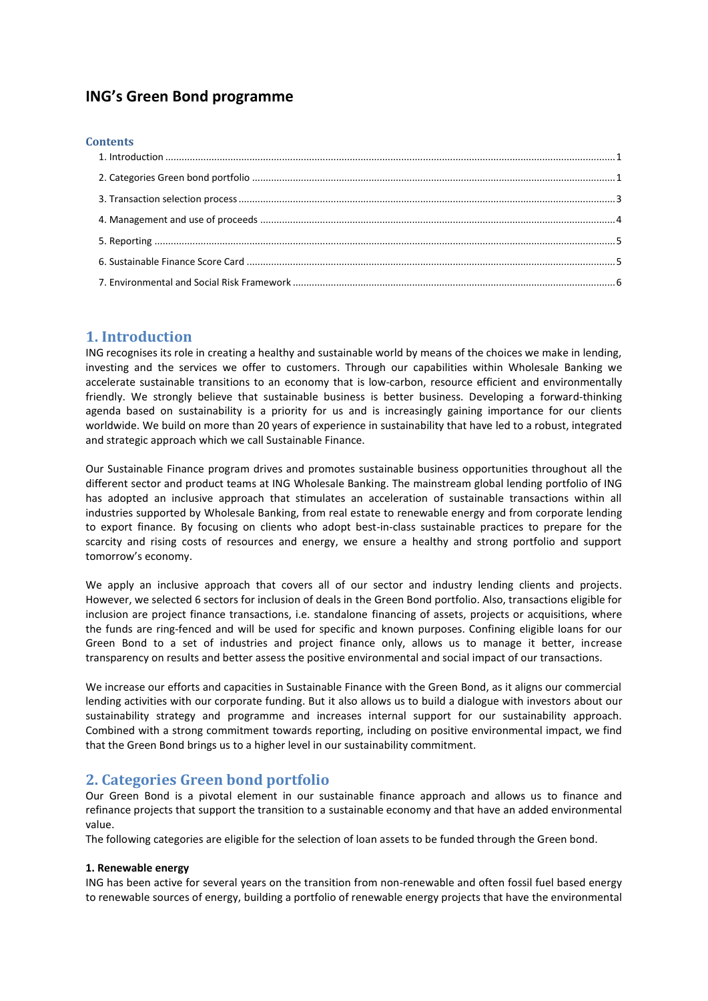# **ING's Green Bond programme**

#### **Contents**

## <span id="page-0-0"></span>**1. Introduction**

ING recognises its role in creating a healthy and sustainable world by means of the choices we make in lending, investing and the services we offer to customers. Through our capabilities within Wholesale Banking we accelerate sustainable transitions to an economy that is low-carbon, resource efficient and environmentally friendly. We strongly believe that sustainable business is better business. Developing a forward-thinking agenda based on sustainability is a priority for us and is increasingly gaining importance for our clients worldwide. We build on more than 20 years of experience in sustainability that have led to a robust, integrated and strategic approach which we call Sustainable Finance.

Our Sustainable Finance program drives and promotes sustainable business opportunities throughout all the different sector and product teams at ING Wholesale Banking. The mainstream global lending portfolio of ING has adopted an inclusive approach that stimulates an acceleration of sustainable transactions within all industries supported by Wholesale Banking, from real estate to renewable energy and from corporate lending to export finance. By focusing on clients who adopt best-in-class sustainable practices to prepare for the scarcity and rising costs of resources and energy, we ensure a healthy and strong portfolio and support tomorrow's economy.

We apply an inclusive approach that covers all of our sector and industry lending clients and projects. However, we selected 6 sectors for inclusion of deals in the Green Bond portfolio. Also, transactions eligible for inclusion are project finance transactions, i.e. standalone financing of assets, projects or acquisitions, where the funds are ring-fenced and will be used for specific and known purposes. Confining eligible loans for our Green Bond to a set of industries and project finance only, allows us to manage it better, increase transparency on results and better assess the positive environmental and social impact of our transactions.

We increase our efforts and capacities in Sustainable Finance with the Green Bond, as it aligns our commercial lending activities with our corporate funding. But it also allows us to build a dialogue with investors about our sustainability strategy and programme and increases internal support for our sustainability approach. Combined with a strong commitment towards reporting, including on positive environmental impact, we find that the Green Bond brings us to a higher level in our sustainability commitment.

# <span id="page-0-1"></span>**2. Categories Green bond portfolio**

Our Green Bond is a pivotal element in our sustainable finance approach and allows us to finance and refinance projects that support the transition to a sustainable economy and that have an added environmental value.

The following categories are eligible for the selection of loan assets to be funded through the Green bond.

### **1. Renewable energy**

ING has been active for several years on the transition from non-renewable and often fossil fuel based energy to renewable sources of energy, building a portfolio of renewable energy projects that have the environmental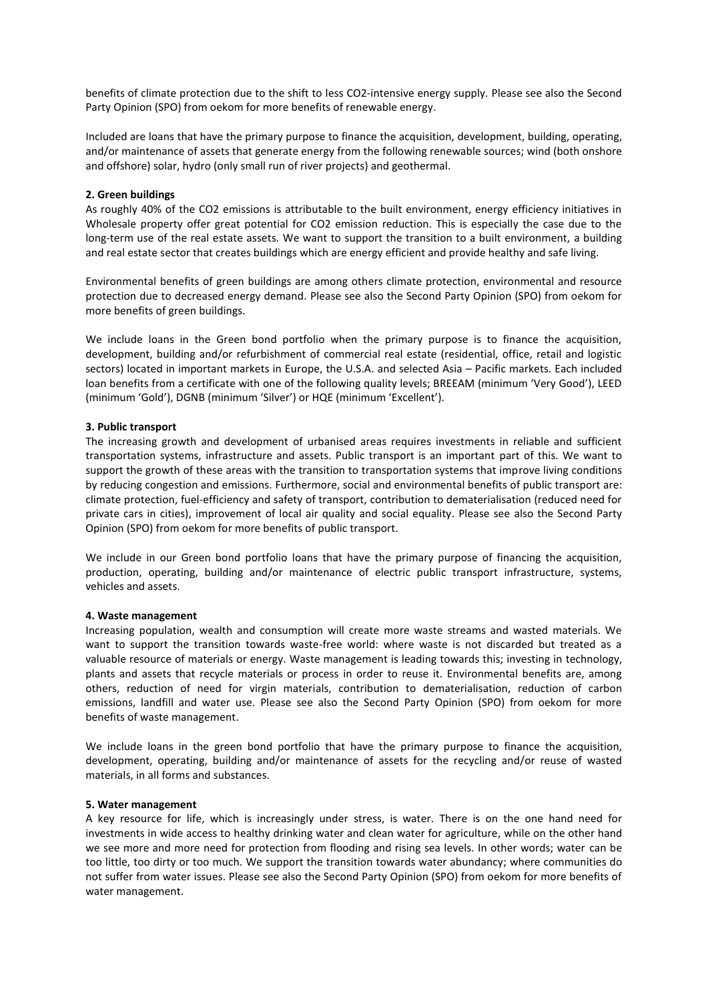benefits of climate protection due to the shift to less CO2-intensive energy supply. Please see also the Second Party Opinion (SPO) from oekom for more benefits of renewable energy.

Included are loans that have the primary purpose to finance the acquisition, development, building, operating, and/or maintenance of assets that generate energy from the following renewable sources; wind (both onshore and offshore) solar, hydro (only small run of river projects) and geothermal.

#### **2. Green buildings**

As roughly 40% of the CO2 emissions is attributable to the built environment, energy efficiency initiatives in Wholesale property offer great potential for CO2 emission reduction. This is especially the case due to the long-term use of the real estate assets. We want to support the transition to a built environment, a building and real estate sector that creates buildings which are energy efficient and provide healthy and safe living.

Environmental benefits of green buildings are among others climate protection, environmental and resource protection due to decreased energy demand. Please see also the Second Party Opinion (SPO) from oekom for more benefits of green buildings.

We include loans in the Green bond portfolio when the primary purpose is to finance the acquisition, development, building and/or refurbishment of commercial real estate (residential, office, retail and logistic sectors) located in important markets in Europe, the U.S.A. and selected Asia – Pacific markets. Each included loan benefits from a certificate with one of the following quality levels; BREEAM (minimum 'Very Good'), LEED (minimum 'Gold'), DGNB (minimum 'Silver') or HQE (minimum 'Excellent').

#### **3. Public transport**

The increasing growth and development of urbanised areas requires investments in reliable and sufficient transportation systems, infrastructure and assets. Public transport is an important part of this. We want to support the growth of these areas with the transition to transportation systems that improve living conditions by reducing congestion and emissions. Furthermore, social and environmental benefits of public transport are: climate protection, fuel-efficiency and safety of transport, contribution to dematerialisation (reduced need for private cars in cities), improvement of local air quality and social equality. Please see also the Second Party Opinion (SPO) from oekom for more benefits of public transport.

We include in our Green bond portfolio loans that have the primary purpose of financing the acquisition, production, operating, building and/or maintenance of electric public transport infrastructure, systems, vehicles and assets.

#### **4. Waste management**

Increasing population, wealth and consumption will create more waste streams and wasted materials. We want to support the transition towards waste-free world: where waste is not discarded but treated as a valuable resource of materials or energy. Waste management is leading towards this; investing in technology, plants and assets that recycle materials or process in order to reuse it. Environmental benefits are, among others, reduction of need for virgin materials, contribution to dematerialisation, reduction of carbon emissions, landfill and water use. Please see also the Second Party Opinion (SPO) from oekom for more benefits of waste management.

We include loans in the green bond portfolio that have the primary purpose to finance the acquisition, development, operating, building and/or maintenance of assets for the recycling and/or reuse of wasted materials, in all forms and substances.

#### **5. Water management**

A key resource for life, which is increasingly under stress, is water. There is on the one hand need for investments in wide access to healthy drinking water and clean water for agriculture, while on the other hand we see more and more need for protection from flooding and rising sea levels. In other words; water can be too little, too dirty or too much. We support the transition towards water abundancy; where communities do not suffer from water issues. Please see also the Second Party Opinion (SPO) from oekom for more benefits of water management.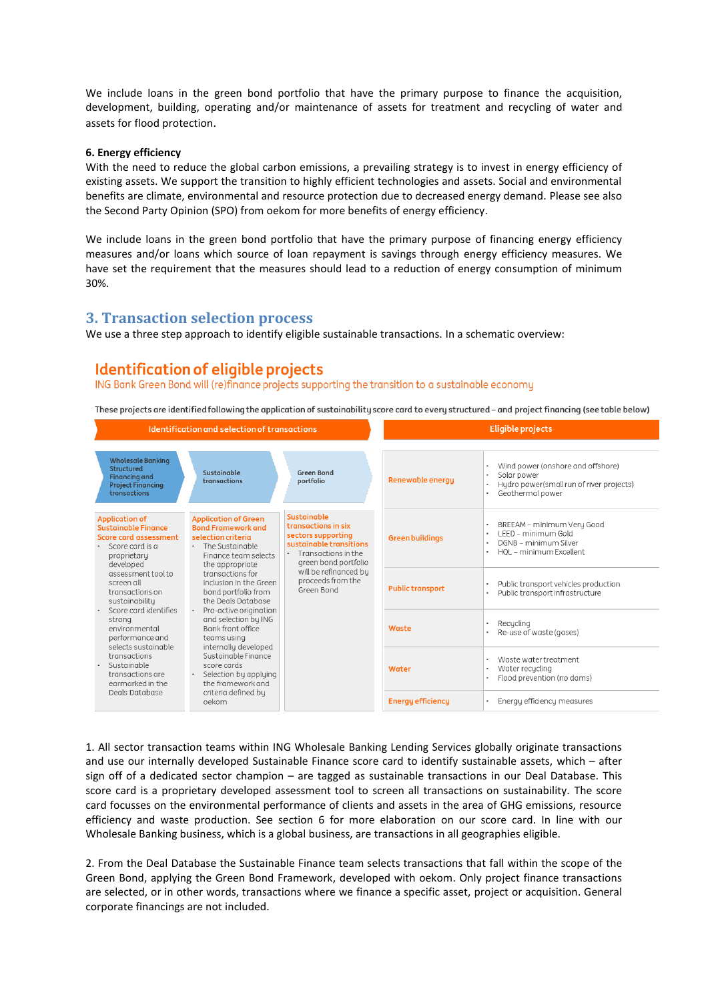We include loans in the green bond portfolio that have the primary purpose to finance the acquisition, development, building, operating and/or maintenance of assets for treatment and recycling of water and assets for flood protection.

#### **6. Energy efficiency**

With the need to reduce the global carbon emissions, a prevailing strategy is to invest in energy efficiency of existing assets. We support the transition to highly efficient technologies and assets. Social and environmental benefits are climate, environmental and resource protection due to decreased energy demand. Please see also the Second Party Opinion (SPO) from oekom for more benefits of energy efficiency.

We include loans in the green bond portfolio that have the primary purpose of financing energy efficiency measures and/or loans which source of loan repayment is savings through energy efficiency measures. We have set the requirement that the measures should lead to a reduction of energy consumption of minimum 30%.

### <span id="page-2-0"></span>**3. Transaction selection process**

We use a three step approach to identify eligible sustainable transactions. In a schematic overview:

# Identification of eligible projects

ING Bank Green Bond will (re)finance projects supporting the transition to a sustainable economy

These projects are identified following the application of sustainability score card to every structured - and project financing (see table below)

| Identification and selection of transactions                                                                                |                                                                                                                                                   |                                                                                                                                    | <b>Eligible projects</b> |                                                                                                                  |
|-----------------------------------------------------------------------------------------------------------------------------|---------------------------------------------------------------------------------------------------------------------------------------------------|------------------------------------------------------------------------------------------------------------------------------------|--------------------------|------------------------------------------------------------------------------------------------------------------|
| <b>Wholesale Banking</b><br>Structured<br><b>Financina</b> and<br><b>Project Financing</b><br>transactions                  | Sustainable<br>transactions                                                                                                                       | Green Bond<br>portfolio                                                                                                            | <b>Renewable energy</b>  | Wind power (onshore and offshore)<br>Solar power<br>Hydro power(small run of river projects)<br>Geothermal power |
| <b>Application of</b><br><b>Sustainable Finance</b><br>Score card assessment<br>Score card is a<br>proprietary<br>developed | <b>Application of Green</b><br><b>Bond Framework and</b><br>selection criteria<br>The Sustainable<br>٠<br>Finance team selects<br>the appropriate | Sustainable<br>transactions in six<br>sectors supporting<br>sustainable transitions<br>Transactions in the<br>green bond portfolio | <b>Green buildings</b>   | BREEAM - minimum Very Good<br>I FFD - minimum Gold<br>DGNB - minimum Silver<br>HOL - minimum Excellent           |
| assessment tool to<br>screen all<br>transactions on<br>sustainabilitu<br>Score card identifies                              | transactions for<br>inclusion in the Green<br>bond portfolio from<br>the Deals Database<br>Pro-active origination                                 | will be refinanced by<br>proceeds from the<br>Green Bond                                                                           | <b>Public transport</b>  | Public transport vehicles production<br>Public transport infrastructure                                          |
| strona<br>environmental<br>performance and<br>selects sustainable                                                           | and selection by ING<br>Bank front office<br>teams using<br>internally developed                                                                  |                                                                                                                                    | Waste                    | Recucling<br>Re-use of waste (gases)                                                                             |
| transactions<br>Sustainable<br>transactions are<br>earmarked in the<br>Deals Database                                       | Sustainable Finance<br>score cards<br>Selection by applying<br>the framework and<br>criteria defined bu                                           |                                                                                                                                    | Water                    | Waste water treatment<br>Water recycling<br>Flood prevention (no dams)                                           |
|                                                                                                                             | oekom                                                                                                                                             |                                                                                                                                    | <b>Energy efficiency</b> | Energy efficiency measures                                                                                       |

1. All sector transaction teams within ING Wholesale Banking Lending Services globally originate transactions and use our internally developed Sustainable Finance score card to identify sustainable assets, which – after sign off of a dedicated sector champion – are tagged as sustainable transactions in our Deal Database. This score card is a proprietary developed assessment tool to screen all transactions on sustainability. The score card focusses on the environmental performance of clients and assets in the area of GHG emissions, resource efficiency and waste production. See section 6 for more elaboration on our score card. In line with our Wholesale Banking business, which is a global business, are transactions in all geographies eligible.

2. From the Deal Database the Sustainable Finance team selects transactions that fall within the scope of the Green Bond, applying the Green Bond Framework, developed with oekom. Only project finance transactions are selected, or in other words, transactions where we finance a specific asset, project or acquisition. General corporate financings are not included.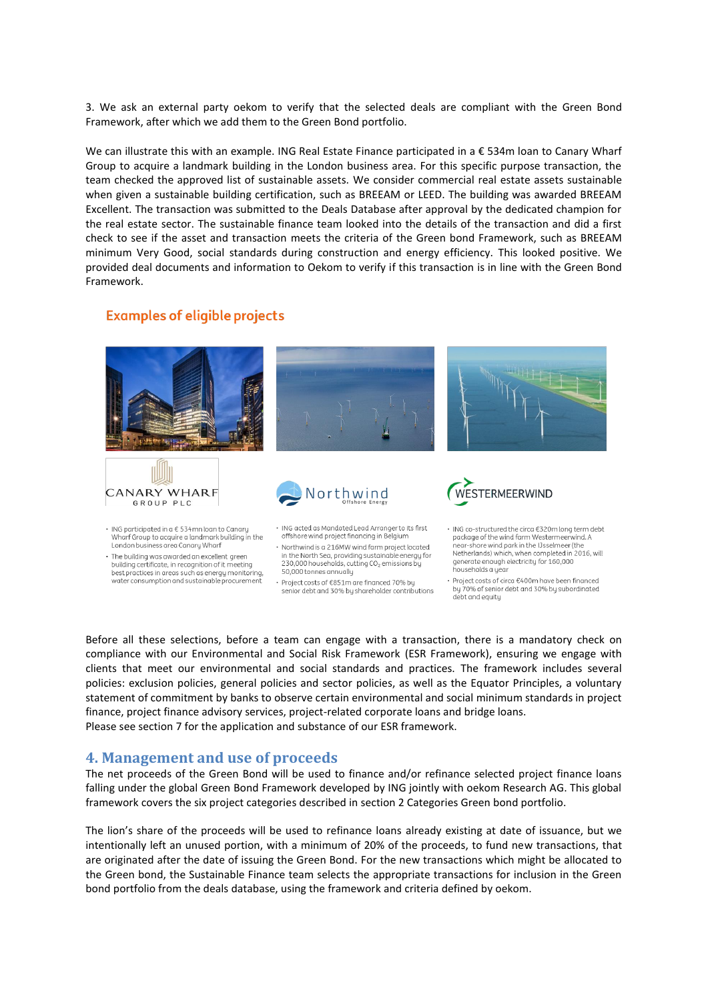3. We ask an external party oekom to verify that the selected deals are compliant with the Green Bond Framework, after which we add them to the Green Bond portfolio.

We can illustrate this with an example. ING Real Estate Finance participated in a € 534m loan to Canary Wharf Group to acquire a landmark building in the London business area. For this specific purpose transaction, the team checked the approved list of sustainable assets. We consider commercial real estate assets sustainable when given a sustainable building certification, such as BREEAM or LEED. The building was awarded BREEAM Excellent. The transaction was submitted to the Deals Database after approval by the dedicated champion for the real estate sector. The sustainable finance team looked into the details of the transaction and did a first check to see if the asset and transaction meets the criteria of the Green bond Framework, such as BREEAM minimum Very Good, social standards during construction and energy efficiency. This looked positive. We provided deal documents and information to Oekom to verify if this transaction is in line with the Green Bond Framework.

### **Examples of eligible projects**



Before all these selections, before a team can engage with a transaction, there is a mandatory check on compliance with our Environmental and Social Risk Framework (ESR Framework), ensuring we engage with clients that meet our environmental and social standards and practices. The framework includes several policies: exclusion policies, general policies and sector policies, as well as the Equator Principles, a voluntary statement of commitment by banks to observe certain environmental and social minimum standards in project finance, project finance advisory services, project-related corporate loans and bridge loans. Please see section 7 for the application and substance of our ESR framework.

### <span id="page-3-0"></span>**4. Management and use of proceeds**

The net proceeds of the Green Bond will be used to finance and/or refinance selected project finance loans falling under the global Green Bond Framework developed by ING jointly with oekom Research AG. This global framework covers the six project categories described in section 2 Categories Green bond portfolio.

The lion's share of the proceeds will be used to refinance loans already existing at date of issuance, but we intentionally left an unused portion, with a minimum of 20% of the proceeds, to fund new transactions, that are originated after the date of issuing the Green Bond. For the new transactions which might be allocated to the Green bond, the Sustainable Finance team selects the appropriate transactions for inclusion in the Green bond portfolio from the deals database, using the framework and criteria defined by oekom.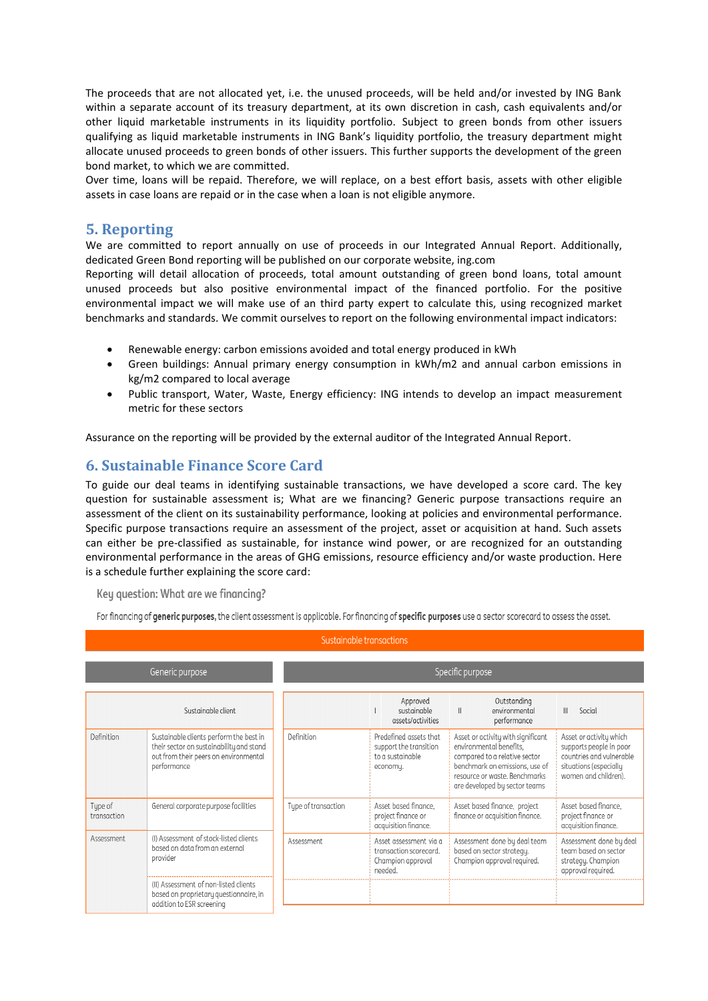The proceeds that are not allocated yet, i.e. the unused proceeds, will be held and/or invested by ING Bank within a separate account of its treasury department, at its own discretion in cash, cash equivalents and/or other liquid marketable instruments in its liquidity portfolio. Subject to green bonds from other issuers qualifying as liquid marketable instruments in ING Bank's liquidity portfolio, the treasury department might allocate unused proceeds to green bonds of other issuers. This further supports the development of the green bond market, to which we are committed.

Over time, loans will be repaid. Therefore, we will replace, on a best effort basis, assets with other eligible assets in case loans are repaid or in the case when a loan is not eligible anymore.

# <span id="page-4-0"></span>**5. Reporting**

We are committed to report annually on use of proceeds in our Integrated Annual Report. Additionally, dedicated Green Bond reporting will be published on our corporate website, ing.com

Reporting will detail allocation of proceeds, total amount outstanding of green bond loans, total amount unused proceeds but also positive environmental impact of the financed portfolio. For the positive environmental impact we will make use of an third party expert to calculate this, using recognized market benchmarks and standards. We commit ourselves to report on the following environmental impact indicators:

- Renewable energy: carbon emissions avoided and total energy produced in kWh
- Green buildings: Annual primary energy consumption in kWh/m2 and annual carbon emissions in kg/m2 compared to local average
- Public transport, Water, Waste, Energy efficiency: ING intends to develop an impact measurement metric for these sectors

<span id="page-4-1"></span>Assurance on the reporting will be provided by the external auditor of the Integrated Annual Report.

# **6. Sustainable Finance Score Card**

To guide our deal teams in identifying sustainable transactions, we have developed a score card. The key question for sustainable assessment is; What are we financing? Generic purpose transactions require an assessment of the client on its sustainability performance, looking at policies and environmental performance. Specific purpose transactions require an assessment of the project, asset or acquisition at hand. Such assets can either be pre-classified as sustainable, for instance wind power, or are recognized for an outstanding environmental performance in the areas of GHG emissions, resource efficiency and/or waste production. Here is a schedule further explaining the score card:

Key question: What are we financina?

For financing of generic purposes, the client assessment is applicable. For financing of specific purposes use a sector scorecard to assess the asset.

| Sustainable transactions |                                                                                                                                             |                     |                                                                                                                                                                                                                                                                                                                                                                                                                            |  |  |  |  |
|--------------------------|---------------------------------------------------------------------------------------------------------------------------------------------|---------------------|----------------------------------------------------------------------------------------------------------------------------------------------------------------------------------------------------------------------------------------------------------------------------------------------------------------------------------------------------------------------------------------------------------------------------|--|--|--|--|
|                          | Generic purpose                                                                                                                             | Specific purpose    |                                                                                                                                                                                                                                                                                                                                                                                                                            |  |  |  |  |
|                          | Sustainable client                                                                                                                          |                     | Approved<br>Outstanding<br>sustainable<br>Social<br>environmental<br>$\mathbb{H}$<br>assets/activities<br>performance                                                                                                                                                                                                                                                                                                      |  |  |  |  |
| Definition               | Sustainable clients perform the best in<br>their sector on sustainability and stand<br>out from their peers on environmental<br>performance | Definition          | Predefined assets that<br>Asset or activity with significant<br>Asset or activity which<br>environmental benefits,<br>support the transition<br>supports people in poor<br>countries and vulnerable<br>compared to a relative sector<br>to a sustainable<br>benchmark on emissions, use of<br>situations (especially<br>economy.<br>resource or waste. Benchmarks<br>women and children).<br>are developed by sector teams |  |  |  |  |
| Tupe of<br>transaction   | General corporate purpose facilities                                                                                                        | Type of transaction | Asset based finance, project<br>Asset based finance.<br>Asset based finance.<br>finance or acquisition finance.<br>project finance or<br>project finance or<br>acquisition finance.<br>acquisition finance.                                                                                                                                                                                                                |  |  |  |  |
| Assessment               | (I) Assessment of stock-listed clients<br>based on data from an external<br>provider                                                        | Assessment          | Assessment done by deal team<br>Assessment done by deal<br>Asset assessment via a<br>team based on sector<br>based on sector strategy.<br>transaction scorecard.<br>Champion approval required.<br>Champion approval<br>strategy. Champion<br>approval required.<br>needed.                                                                                                                                                |  |  |  |  |
|                          | (II) Assessment of non-listed clients<br>based on proprietary questionnaire, in<br>addition to ESR screening                                |                     |                                                                                                                                                                                                                                                                                                                                                                                                                            |  |  |  |  |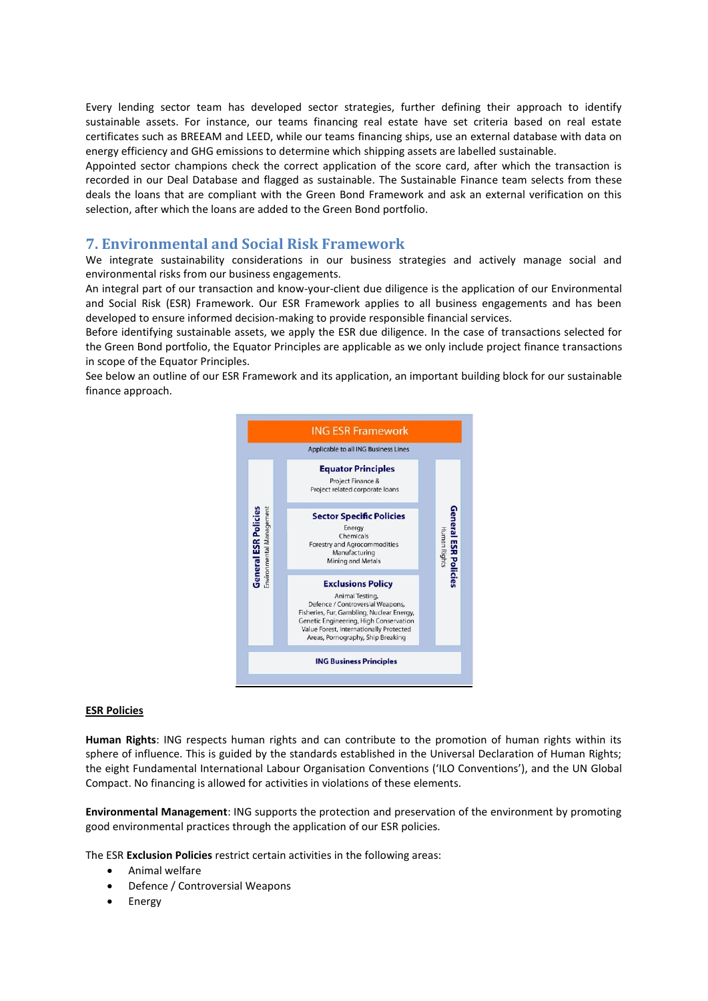Every lending sector team has developed sector strategies, further defining their approach to identify sustainable assets. For instance, our teams financing real estate have set criteria based on real estate certificates such as BREEAM and LEED, while our teams financing ships, use an external database with data on energy efficiency and GHG emissions to determine which shipping assets are labelled sustainable.

Appointed sector champions check the correct application of the score card, after which the transaction is recorded in our Deal Database and flagged as sustainable. The Sustainable Finance team selects from these deals the loans that are compliant with the Green Bond Framework and ask an external verification on this selection, after which the loans are added to the Green Bond portfolio.

## <span id="page-5-0"></span>**7. Environmental and Social Risk Framework**

We integrate sustainability considerations in our business strategies and actively manage social and environmental risks from our business engagements.

An integral part of our transaction and know-your-client due diligence is the application of our Environmental and Social Risk (ESR) Framework. Our ESR Framework applies to all business engagements and has been developed to ensure informed decision-making to provide responsible financial services.

Before identifying sustainable assets, we apply the ESR due diligence. In the case of transactions selected for the Green Bond portfolio, the Equator Principles are applicable as we only include project finance transactions in scope of the Equator Principles.

See below an outline of our ESR Framework and its application, an important building block for our sustainable finance approach.



#### **ESR Policies**

**Human Rights**: ING respects human rights and can contribute to the promotion of human rights within its sphere of influence. This is guided by the standards established in the Universal Declaration of Human Rights; the eight Fundamental International Labour Organisation Conventions ('ILO Conventions'), and the UN Global Compact. No financing is allowed for activities in violations of these elements.

**Environmental Management**: ING supports the protection and preservation of the environment by promoting good environmental practices through the application of our ESR policies.

The ESR **Exclusion Policies** restrict certain activities in the following areas:

- Animal welfare
- Defence / Controversial Weapons
- Energy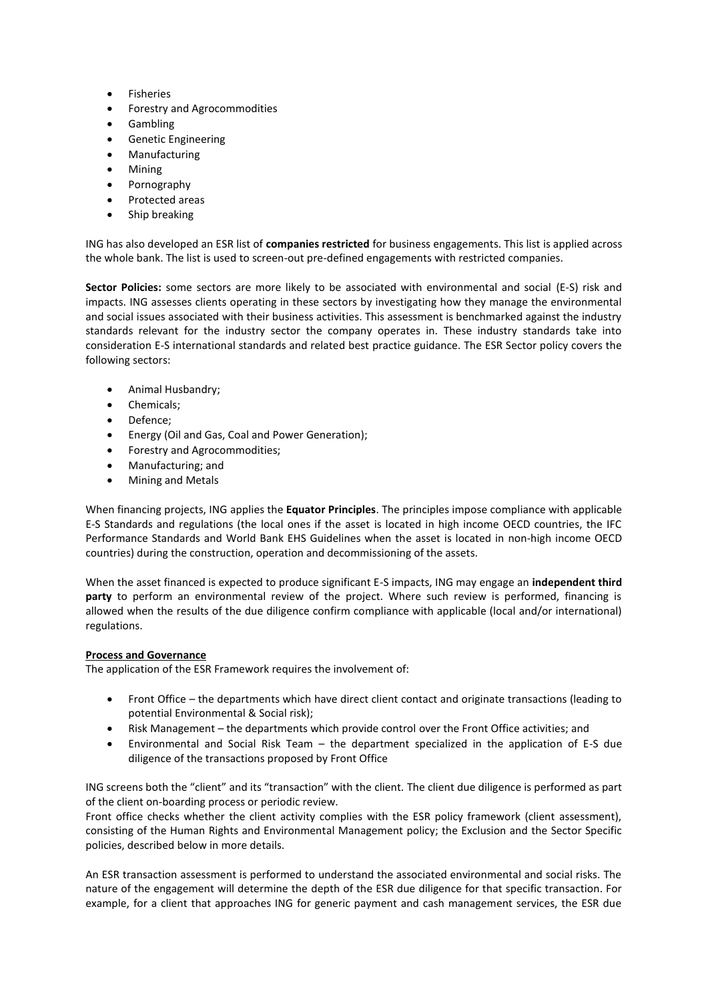- Fisheries
- Forestry and Agrocommodities
- Gambling
- **•** Genetic Engineering
- Manufacturing
- Mining
- Pornography
- Protected areas
- Ship breaking

ING has also developed an ESR list of **companies restricted** for business engagements. This list is applied across the whole bank. The list is used to screen-out pre-defined engagements with restricted companies.

**Sector Policies:** some sectors are more likely to be associated with environmental and social (E-S) risk and impacts. ING assesses clients operating in these sectors by investigating how they manage the environmental and social issues associated with their business activities. This assessment is benchmarked against the industry standards relevant for the industry sector the company operates in. These industry standards take into consideration E-S international standards and related best practice guidance. The ESR Sector policy covers the following sectors:

- Animal Husbandry;
- Chemicals;
- Defence;
- Energy (Oil and Gas, Coal and Power Generation);
- Forestry and Agrocommodities;
- Manufacturing; and
- Mining and Metals

When financing projects, ING applies the **Equator Principles**. The principles impose compliance with applicable E-S Standards and regulations (the local ones if the asset is located in high income OECD countries, the IFC Performance Standards and World Bank EHS Guidelines when the asset is located in non-high income OECD countries) during the construction, operation and decommissioning of the assets.

When the asset financed is expected to produce significant E-S impacts, ING may engage an **independent third party** to perform an environmental review of the project. Where such review is performed, financing is allowed when the results of the due diligence confirm compliance with applicable (local and/or international) regulations.

### **Process and Governance**

The application of the ESR Framework requires the involvement of:

- Front Office the departments which have direct client contact and originate transactions (leading to potential Environmental & Social risk);
- Risk Management the departments which provide control over the Front Office activities; and
- Environmental and Social Risk Team the department specialized in the application of E-S due diligence of the transactions proposed by Front Office

ING screens both the "client" and its "transaction" with the client. The client due diligence is performed as part of the client on-boarding process or periodic review.

Front office checks whether the client activity complies with the ESR policy framework (client assessment), consisting of the Human Rights and Environmental Management policy; the Exclusion and the Sector Specific policies, described below in more details.

An ESR transaction assessment is performed to understand the associated environmental and social risks. The nature of the engagement will determine the depth of the ESR due diligence for that specific transaction. For example, for a client that approaches ING for generic payment and cash management services, the ESR due